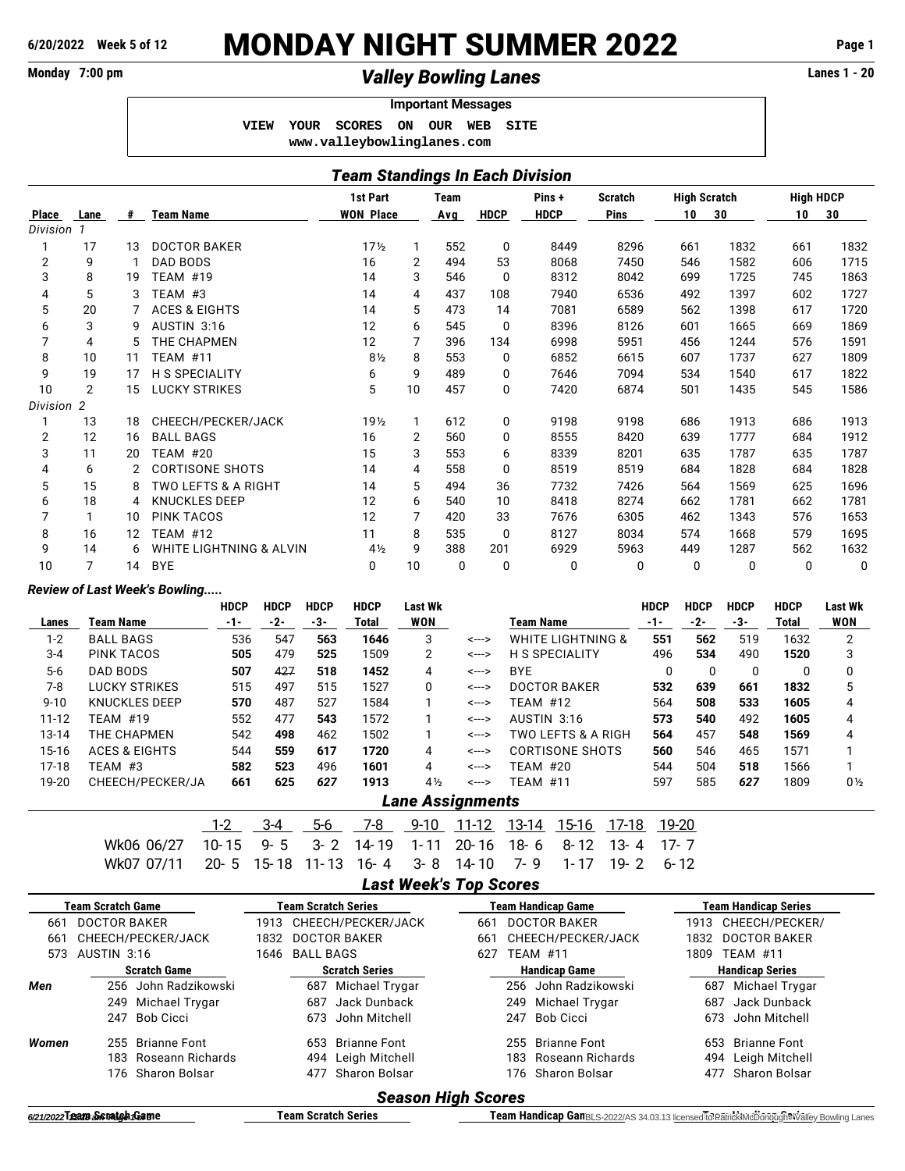# **6/20/2022 Week 5 of 12** MONDAY NIGHT SUMMER 2022 **Page 1**

## Monday 7:00 pm **1 and 20 and 20 and 20 and 20 and 20 and 20 and 20 and 20 and 20 and 20 and 20 and 20 and 20 and 20 and 20 and 20 and 20 and 20 and 20 and 20 and 20 and 20 and 20 and 20 and 20 and 20 and 20 and 20 and 20 a**

### **Important Messages VIEW YOUR SCORES ON OUR WEB SITE <www.valleybowlinglanes.com>**

| <b>Team Standings In Each Division</b> |      |    |                          |                  |                |            |             |             |                |                     |      |                  |      |
|----------------------------------------|------|----|--------------------------|------------------|----------------|------------|-------------|-------------|----------------|---------------------|------|------------------|------|
|                                        |      |    |                          | 1st Part         |                | Team       |             | Pins+       | <b>Scratch</b> | <b>High Scratch</b> |      | <b>High HDCP</b> |      |
| Place                                  | Lane | #  | <b>Team Name</b>         | <b>WON Place</b> |                | <b>Avg</b> | <b>HDCP</b> | <b>HDCP</b> | <b>Pins</b>    | 10                  | 30   | 10               | 30   |
| Division 1                             |      |    |                          |                  |                |            |             |             |                |                     |      |                  |      |
|                                        | 17   | 13 | <b>DOCTOR BAKER</b>      | 17 <sub>2</sub>  | $\mathbf{1}$   | 552        | 0           | 8449        | 8296           | 661                 | 1832 | 661              | 1832 |
| $\overline{2}$                         | 9    |    | <b>DAD BODS</b>          | 16               | 2              | 494        | 53          | 8068        | 7450           | 546                 | 1582 | 606              | 1715 |
| 3                                      | 8    | 19 | <b>TEAM #19</b>          | 14               | 3              | 546        | 0           | 8312        | 8042           | 699                 | 1725 | 745              | 1863 |
| 4                                      | 5    | 3  | TEAM #3                  | 14               | 4              | 437        | 108         | 7940        | 6536           | 492                 | 1397 | 602              | 1727 |
| 5                                      | 20   |    | <b>ACES &amp; EIGHTS</b> | 14               | 5              | 473        | 14          | 7081        | 6589           | 562                 | 1398 | 617              | 1720 |
| 6                                      | 3    | g  | AUSTIN 3:16              | 12               | 6              | 545        | 0           | 8396        | 8126           | 601                 | 1665 | 669              | 1869 |
| 7                                      | 4    | 5  | THE CHAPMEN              | 12               | 7              | 396        | 134         | 6998        | 5951           | 456                 | 1244 | 576              | 1591 |
| 8                                      | 10   | 11 | <b>TEAM #11</b>          | $8\frac{1}{2}$   | 8              | 553        | 0           | 6852        | 6615           | 607                 | 1737 | 627              | 1809 |
| 9                                      | 19   | 17 | <b>H S SPECIALITY</b>    | 6                | 9              | 489        | 0           | 7646        | 7094           | 534                 | 1540 | 617              | 1822 |
| 10                                     | 2    | 15 | <b>LUCKY STRIKES</b>     | 5                | 10             | 457        | 0           | 7420        | 6874           | 501                 | 1435 | 545              | 1586 |
| Division 2                             |      |    |                          |                  |                |            |             |             |                |                     |      |                  |      |
|                                        | 13   | 18 | CHEECH/PECKER/JACK       | 19 <sub>2</sub>  | $\mathbf{1}$   | 612        | 0           | 9198        | 9198           | 686                 | 1913 | 686              | 1913 |
| $\overline{2}$                         | 12   | 16 | <b>BALL BAGS</b>         | 16               | $\overline{2}$ | 560        | 0           | 8555        | 8420           | 639                 | 1777 | 684              | 1912 |
| 3                                      | 11   | 20 | <b>TEAM #20</b>          | 15               | 3              | 553        | 6           | 8339        | 8201           | 635                 | 1787 | 635              | 1787 |
| 4                                      | 6    |    | <b>CORTISONE SHOTS</b>   | 14               | 4              | 558        | 0           | 8519        | 8519           | 684                 | 1828 | 684              | 1828 |
| 5                                      | 15   | 8  | TWO LEFTS & A RIGHT      | 14               | 5              | 494        | 36          | 7732        | 7426           | 564                 | 1569 | 625              | 1696 |
| 6                                      | 18   | 4  | <b>KNUCKLES DEEP</b>     | 12               | 6              | 540        | 10          | 8418        | 8274           | 662                 | 1781 | 662              | 1781 |
| 7                                      | 1    | 10 | <b>PINK TACOS</b>        | 12               | 7              | 420        | 33          | 7676        | 6305           | 462                 | 1343 | 576              | 1653 |
| 8                                      | 16   | 12 | <b>TEAM #12</b>          | 11               | 8              | 535        | 0           | 8127        | 8034           | 574                 | 1668 | 579              | 1695 |
| 9                                      | 14   | 6  | WHITE LIGHTNING & ALVIN  | $4\frac{1}{2}$   | 9              | 388        | 201         | 6929        | 5963           | 449                 | 1287 | 562              | 1632 |
| 10                                     | 7    | 14 | <b>BYE</b>               | 0                | 10             | 0          | 0           | 0           | 0              | $\Omega$            | 0    | 0                | 0    |

### *Review of Last Week's Bowling.....*

|           |                          | <b>HDCP</b> | <b>HDCP</b> | <b>HDCP</b> | <b>HDCP</b> | Last Wk        |                         |                                  | <b>HDCP</b> | <b>HDCP</b> | <b>HDCP</b> | <b>HDCP</b> | Last Wk        |
|-----------|--------------------------|-------------|-------------|-------------|-------------|----------------|-------------------------|----------------------------------|-------------|-------------|-------------|-------------|----------------|
| Lanes     | Team Name                | -1-         | -2-         | -3-         | Total       | <b>WON</b>     |                         | Team Name                        | -1-         | -2-         | -3-         | Total       | WON            |
| $1 - 2$   | <b>BALL BAGS</b>         | 536         | 547         | 563         | 1646        | 3              | <--->                   | <b>WHITE LIGHTNING &amp;</b>     | 551         | 562         | 519         | 1632        | 2              |
| $3 - 4$   | PINK TACOS               | 505         | 479         | 525         | 1509        | 2              | <--->                   | <b>H S SPECIALITY</b>            | 496         | 534         | 490         | 1520        | 3              |
| $5-6$     | DAD BODS                 | 507         | 427         | 518         | 1452        | 4              | <--->                   | <b>BYE</b>                       | $\Omega$    | 0           | 0           | $\Omega$    | 0              |
| $7-8$     | LUCKY STRIKES            | 515         | 497         | 515         | 1527        | 0              | <--->                   | <b>DOCTOR BAKER</b>              | 532         | 639         | 661         | 1832        | 5              |
| $9 - 10$  | <b>KNUCKLES DEEP</b>     | 570         | 487         | 527         | 1584        |                | <--->                   | TEAM #12                         | 564         | 508         | 533         | 1605        | 4              |
| $11 - 12$ | TEAM #19                 | 552         | 477         | 543         | 1572        |                | <--->                   | AUSTIN 3:16                      | 573         | 540         | 492         | 1605        | 4              |
| 13-14     | THE CHAPMEN              | 542         | 498         | 462         | 1502        |                | <--->                   | TWO LEFTS & A RIGH               | 564         | 457         | 548         | 1569        | 4              |
| $15 - 16$ | <b>ACES &amp; EIGHTS</b> | 544         | 559         | 617         | 1720        | 4              | <--->                   | CORTISONE SHOTS                  | 560         | 546         | 465         | 1571        |                |
| $17-18$   | TEAM #3                  | 582         | 523         | 496         | 1601        | 4              | <--->                   | <b>TEAM #20</b>                  | 544         | 504         | 518         | 1566        |                |
| 19-20     | CHEECH/PECKER/JA         | 661         | 625         | 627         | 1913        | $4\frac{1}{2}$ | <--->                   | TEAM #11                         | 597         | 585         | 627         | 1809        | $0\frac{1}{2}$ |
|           |                          |             |             |             |             |                | <b>Lane Assignments</b> |                                  |             |             |             |             |                |
|           |                          | $1-2$       | $3 - 4$     | 5-6         | 7-8         | $9 - 10$       | 11-12                   | 13-14<br>15-16<br>17-18          |             | 19-20       |             |             |                |
|           | Wk06 06/27               | $10 - 15$   | $9 - 5$     | $3 - 2$     | 14-19       | $1 - 11$       | $20 - 16$               | $18 - 6$<br>$8 - 12$<br>$13 - 4$ | $17 - 7$    |             |             |             |                |
|           | Wk07 07/11               | $20 - 5$    | 15-18       | $11 - 13$   | $16 - 4$    | $3 - 8$        | 14-10                   | 7-9<br>$19 - 2$<br>$1 - 17$      |             | $6 - 12$    |             |             |                |
|           |                          |             |             |             |             |                |                         |                                  |             |             |             |             |                |

### *Last Week's Top Scores*

|                            | Team Scratch Game       | <b>Team Scratch Series</b>  | <b>Team Handicap Game</b>  | <b>Team Handicap Series</b> |  |  |  |  |  |  |  |
|----------------------------|-------------------------|-----------------------------|----------------------------|-----------------------------|--|--|--|--|--|--|--|
| <b>DOCTOR BAKER</b><br>661 |                         | 1913 CHEECH/PECKER/JACK     | <b>DOCTOR BAKER</b><br>661 | CHEECH/PECKER/<br>1913      |  |  |  |  |  |  |  |
| 661                        | CHEECH/PECKER/JACK      | <b>DOCTOR BAKER</b><br>1832 | CHEECH/PECKER/JACK<br>661  | <b>DOCTOR BAKER</b><br>1832 |  |  |  |  |  |  |  |
| 573                        | AUSTIN 3:16             | 1646 BALL BAGS              | <b>TEAM #11</b><br>627     | <b>TEAM #11</b><br>1809     |  |  |  |  |  |  |  |
| <b>Scratch Game</b>        |                         | <b>Scratch Series</b>       | <b>Handicap Game</b>       | <b>Handicap Series</b>      |  |  |  |  |  |  |  |
| Men                        | 256 John Radzikowski    | Michael Trygar<br>687       | 256 John Radzikowski       | Michael Trygar<br>687       |  |  |  |  |  |  |  |
|                            | 249 Michael Trygar      | Jack Dunback<br>687         | 249 Michael Trygar         | Jack Dunback<br>687         |  |  |  |  |  |  |  |
|                            | Bob Cicci<br>247        | John Mitchell<br>673        | Bob Cicci<br>247           | John Mitchell<br>673        |  |  |  |  |  |  |  |
| Women                      | 255 Brianne Font        | Brianne Font<br>653         | 255 Brianne Font           | Brianne Font<br>653.        |  |  |  |  |  |  |  |
|                            | Roseann Richards<br>183 | 494 Leigh Mitchell          | 183 Roseann Richards       | Leigh Mitchell<br>494       |  |  |  |  |  |  |  |
|                            | 176 Sharon Bolsar       | 477 Sharon Bolsar           | 176 Sharon Bolsar          | Sharon Bolsar<br>477        |  |  |  |  |  |  |  |
| <b>Season High Scores</b>  |                         |                             |                            |                             |  |  |  |  |  |  |  |

**6/21/2022 Team 3cratch Series Team Scratch Series Team Handicap Gam**BLS-2022/AS 34.03.13 licensed to Patrick McDonough et Valley Bowling Lanes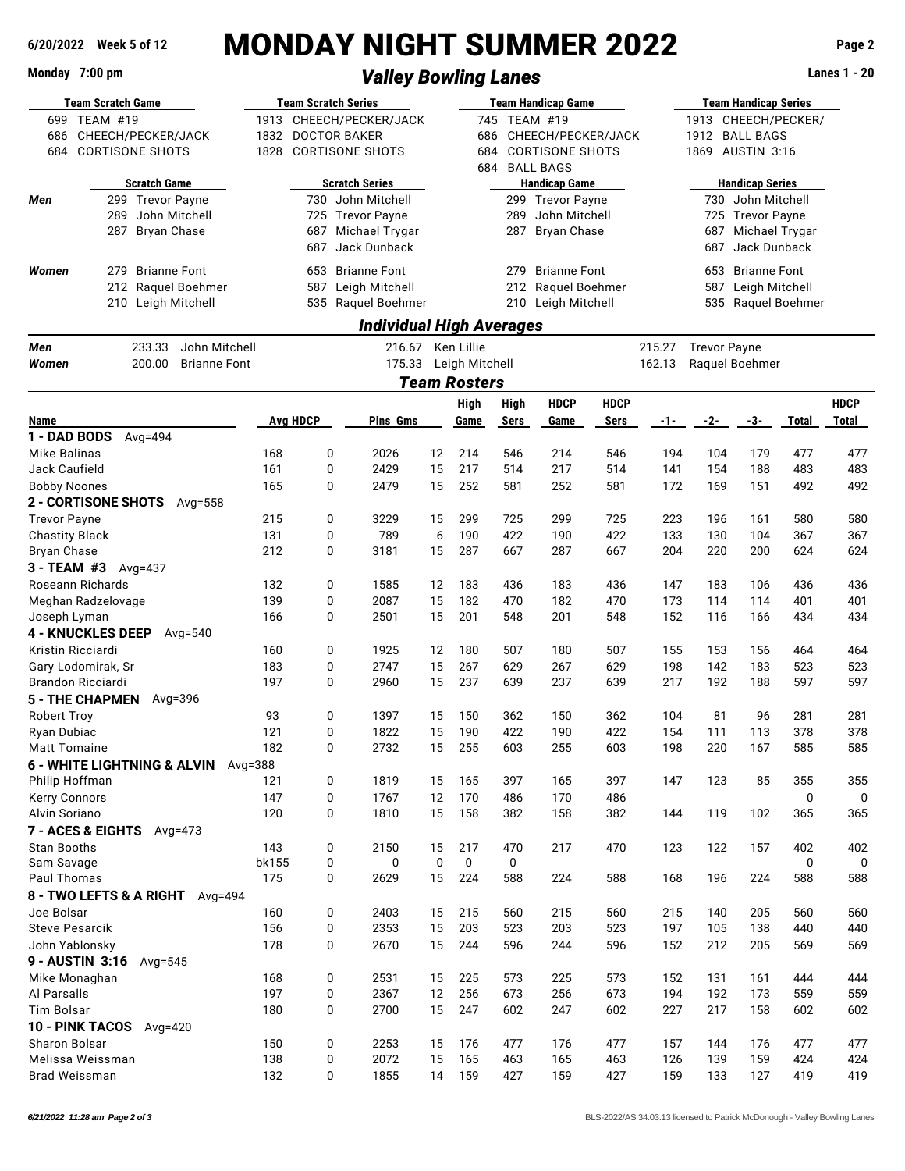# **6/20/2022 Week 5 of 12** MONDAY NIGHT SUMMER 2022 **Page 2**

## **Monday 7:00 pm** Lanes 1 - 20

| <b>Team Scratch Game</b>     |                                           |            |                         | <b>Team Scratch Series</b>                    |                                              | <b>Team Handicap Game</b> |              |                        |             |            |                     | <b>Team Handicap Series</b> |              |             |  |
|------------------------------|-------------------------------------------|------------|-------------------------|-----------------------------------------------|----------------------------------------------|---------------------------|--------------|------------------------|-------------|------------|---------------------|-----------------------------|--------------|-------------|--|
| 699 TEAM #19                 |                                           |            | 1913 CHEECH/PECKER/JACK |                                               |                                              |                           | 745 TEAM #19 |                        |             |            | 1913 CHEECH/PECKER/ |                             |              |             |  |
| 686                          | CHEECH/PECKER/JACK                        | 1832       |                         | <b>DOCTOR BAKER</b>                           |                                              | 686                       |              | CHEECH/PECKER/JACK     |             | 1912       | <b>BALL BAGS</b>    |                             |              |             |  |
| 684                          | <b>CORTISONE SHOTS</b>                    | 1828       |                         | <b>CORTISONE SHOTS</b>                        |                                              | 684                       |              | <b>CORTISONE SHOTS</b> |             | 1869       | AUSTIN 3:16         |                             |              |             |  |
|                              |                                           |            |                         |                                               |                                              |                           |              | 684 BALL BAGS          |             |            |                     |                             |              |             |  |
|                              | <b>Scratch Game</b>                       |            |                         | <b>Scratch Series</b>                         |                                              |                           |              | <b>Handicap Game</b>   |             |            |                     | <b>Handicap Series</b>      |              |             |  |
| Men                          | 299 Trevor Payne                          |            |                         | 730 John Mitchell                             |                                              |                           |              | 299 Trevor Payne       |             |            |                     | 730 John Mitchell           |              |             |  |
|                              | 289<br>John Mitchell                      |            |                         | 725 Trevor Payne                              |                                              |                           | 289          | John Mitchell          |             |            |                     | 725 Trevor Payne            |              |             |  |
|                              | 287<br><b>Bryan Chase</b>                 |            | 687                     | Michael Trygar                                |                                              |                           | 287          | <b>Bryan Chase</b>     |             |            | 687                 | Michael Trygar              |              |             |  |
|                              |                                           |            | 687                     | Jack Dunback                                  |                                              |                           |              |                        |             |            | 687                 | Jack Dunback                |              |             |  |
| Women                        | <b>Brianne Font</b><br>279                |            |                         | 653 Brianne Font                              |                                              |                           | 279          | <b>Brianne Font</b>    |             |            |                     | 653 Brianne Font            |              |             |  |
|                              | 212<br>Raquel Boehmer                     |            | 587                     | Leigh Mitchell                                |                                              |                           |              | 212 Raquel Boehmer     |             |            |                     | 587 Leigh Mitchell          |              |             |  |
|                              | 210<br>Leigh Mitchell                     |            |                         | 535 Raquel Boehmer                            |                                              |                           |              | 210 Leigh Mitchell     |             |            | 535                 | Raquel Boehmer              |              |             |  |
|                              |                                           |            |                         |                                               |                                              |                           |              |                        |             |            |                     |                             |              |             |  |
| Men                          | John Mitchell<br>233.33                   |            |                         | Individual High Averages<br>216.67 Ken Lillie |                                              |                           |              |                        |             | 215.27     | <b>Trevor Payne</b> |                             |              |             |  |
|                              | 200.00                                    |            |                         |                                               |                                              |                           |              |                        |             | 162.13     |                     |                             |              |             |  |
| Women                        | <b>Brianne Font</b>                       |            |                         |                                               | 175.33 Leigh Mitchell<br><b>Team Rosters</b> |                           |              |                        |             |            | Raquel Boehmer      |                             |              |             |  |
|                              |                                           |            |                         |                                               |                                              |                           |              |                        |             |            |                     |                             |              |             |  |
|                              |                                           |            | <b>Avg HDCP</b>         |                                               |                                              | High                      | High         | <b>HDCP</b>            | <b>HDCP</b> |            |                     |                             |              | <b>HDCP</b> |  |
| Name<br>1 - DAD BODS         | Avg=494                                   |            |                         | Pins Gms                                      |                                              | Game                      | Sers         | Game                   | Sers        | $-1-$      | -2-                 | -3-                         | <b>Total</b> | Total       |  |
| Mike Balinas                 |                                           | 168        |                         | 0<br>2026                                     | 12                                           | 214                       | 546          | 214                    | 546         | 194        | 104                 | 179                         | 477          | 477         |  |
| Jack Caufield                |                                           | 161        |                         | 0<br>2429                                     | 15                                           | 217                       | 514          | 217                    | 514         | 141        | 154                 | 188                         | 483          | 483         |  |
| <b>Bobby Noones</b>          |                                           | 165        |                         | 2479<br>0                                     | 15                                           | 252                       | 581          | 252                    | 581         | 172        | 169                 | 151                         | 492          | 492         |  |
|                              | 2 - CORTISONE SHOTS Avg=558               |            |                         |                                               |                                              |                           |              |                        |             |            |                     |                             |              |             |  |
| <b>Trevor Payne</b>          |                                           | 215        |                         | 0<br>3229                                     | 15                                           | 299                       | 725          | 299                    | 725         | 223        | 196                 | 161                         | 580          | 580         |  |
| <b>Chastity Black</b>        |                                           | 131        |                         | 789<br>0                                      | 6                                            | 190                       | 422          | 190                    | 422         | 133        | 130                 | 104                         | 367          | 367         |  |
| <b>Bryan Chase</b>           |                                           | 212        |                         | 3181<br>0                                     | 15                                           | 287                       | 667          | 287                    | 667         | 204        | 220                 | 200                         | 624          | 624         |  |
|                              | 3 - TEAM #3 $Avg=437$                     |            |                         |                                               |                                              |                           |              |                        |             |            |                     |                             |              |             |  |
|                              | Roseann Richards                          | 132        |                         | 0<br>1585                                     | 12                                           | 183                       | 436          | 183                    | 436         | 147        | 183                 | 106                         | 436          | 436         |  |
|                              | Meghan Radzelovage                        | 139        |                         | 0<br>2087                                     | 15                                           | 182                       | 470          | 182                    | 470         | 173        | 114                 | 114                         | 401          | 401         |  |
| Joseph Lyman                 |                                           | 166        |                         | 2501<br>0                                     | 15                                           | 201                       | 548          | 201                    | 548         | 152        | 116                 | 166                         | 434          | 434         |  |
|                              | <b>4 - KNUCKLES DEEP</b><br>Avg= $540$    |            |                         |                                               |                                              |                           |              |                        |             |            |                     |                             |              |             |  |
| Kristin Ricciardi            |                                           | 160        |                         | 0<br>1925                                     | 12                                           | 180                       | 507          | 180                    | 507         | 155        | 153                 | 156                         | 464          | 464         |  |
|                              | Gary Lodomirak, Sr                        | 183        |                         | 0<br>2747                                     | 15                                           | 267                       | 629          | 267                    | 629         | 198        | 142                 | 183                         | 523          | 523         |  |
|                              | Brandon Ricciardi                         | 197        |                         | 0<br>2960                                     | 15                                           | 237                       | 639          | 237                    | 639         | 217        | 192                 | 188                         | 597          | 597         |  |
|                              | <b>5 - THE CHAPMEN</b><br>Avg=396         |            |                         |                                               |                                              |                           |              |                        |             |            |                     |                             |              |             |  |
| <b>Robert Troy</b>           |                                           | 93         |                         | 0<br>1397                                     | 15                                           | 150                       | 362          | 150                    | 362         | 104        | 81                  | 96                          | 281          | 281         |  |
| Ryan Dubiac                  |                                           | 121        |                         | 0<br>1822                                     | 15                                           | 190                       | 422          | 190                    | 422         | 154        | 111                 | 113                         | 378          | 378         |  |
| <b>Matt Tomaine</b>          |                                           | 182        |                         | 0<br>2732                                     | 15                                           | 255                       | 603          | 255                    | 603         | 198        | 220                 | 167                         | 585          | 585         |  |
|                              | 6 - WHITE LIGHTNING & ALVIN<br>Avg= $388$ |            |                         |                                               |                                              |                           |              |                        |             |            |                     |                             |              |             |  |
| Philip Hoffman               |                                           | 121        |                         | 0<br>1819                                     | 15                                           | 165                       | 397          | 165                    | 397         | 147        | 123                 | 85                          | 355          | 355         |  |
| <b>Kerry Connors</b>         |                                           | 147        |                         | 0<br>1767                                     | 12                                           | 170                       | 486          | 170                    | 486         |            |                     |                             | 0            | 0           |  |
| Alvin Soriano                |                                           | 120        |                         | 1810<br>0                                     | 15                                           | 158                       | 382          | 158                    | 382         | 144        | 119                 | 102                         | 365          | 365         |  |
|                              | 7 - ACES & EIGHTS Avg=473                 |            |                         |                                               |                                              |                           |              |                        |             |            |                     |                             |              |             |  |
| <b>Stan Booths</b>           |                                           | 143        |                         | 0<br>2150                                     | 15                                           | 217                       | 470          | 217                    | 470         | 123        | 122                 | 157                         | 402          | 402         |  |
| Sam Savage                   |                                           | bk155      |                         | 0<br>0                                        | 0                                            | 0                         | 0            |                        |             |            |                     |                             | 0            | 0           |  |
| Paul Thomas                  |                                           | 175        |                         | 0<br>2629                                     | 15                                           | 224                       | 588          | 224                    | 588         | 168        | 196                 | 224                         | 588          | 588         |  |
|                              | 8 - TWO LEFTS & A RIGHT Avg=494           |            |                         |                                               |                                              |                           |              |                        |             |            |                     |                             |              |             |  |
| Joe Bolsar                   |                                           | 160        |                         | 0<br>2403                                     | 15                                           | 215                       | 560          | 215                    | 560         | 215        | 140                 | 205                         | 560          | 560         |  |
| <b>Steve Pesarcik</b>        |                                           | 156        |                         | 0<br>2353                                     | 15                                           | 203                       | 523          | 203                    | 523         | 197        | 105                 | 138                         | 440          | 440         |  |
| John Yablonsky               |                                           | 178        |                         | 0<br>2670                                     | 15                                           | 244                       | 596          | 244                    | 596         | 152        | 212                 | 205                         | 569          | 569         |  |
|                              | <b>9 - AUSTIN 3:16</b><br>Avg= $545$      |            |                         |                                               |                                              |                           |              |                        |             |            |                     |                             |              |             |  |
| Mike Monaghan<br>Al Parsalls |                                           | 168<br>197 |                         | 0<br>2531<br>0<br>2367                        | 15<br>12                                     | 225<br>256                | 573<br>673   | 225<br>256             | 573<br>673  | 152<br>194 | 131<br>192          | 161<br>173                  | 444<br>559   | 444<br>559  |  |
| Tim Bolsar                   |                                           | 180        |                         | 2700<br>0                                     | 15                                           | 247                       | 602          | 247                    | 602         | 227        | 217                 | 158                         | 602          | 602         |  |
|                              | <b>10 - PINK TACOS</b><br>Avg= $420$      |            |                         |                                               |                                              |                           |              |                        |             |            |                     |                             |              |             |  |
| Sharon Bolsar                |                                           | 150        |                         | 0<br>2253                                     | 15                                           | 176                       | 477          | 176                    | 477         | 157        | 144                 | 176                         | 477          | 477         |  |
|                              | Melissa Weissman                          | 138        |                         | 0<br>2072                                     | 15                                           | 165                       | 463          | 165                    | 463         | 126        | 139                 | 159                         | 424          | 424         |  |
| Brad Weissman                |                                           | 132        |                         | 0<br>1855                                     | 14                                           | 159                       | 427          | 159                    | 427         | 159        | 133                 | 127                         | 419          | 419         |  |